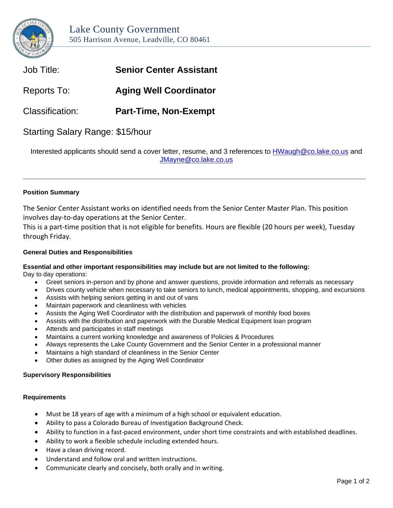

| Job Title:             | <b>Senior Center Assistant</b> |
|------------------------|--------------------------------|
| Reports To:            | <b>Aging Well Coordinator</b>  |
| <b>Classification:</b> | <b>Part-Time, Non-Exempt</b>   |
|                        |                                |

# Starting Salary Range: \$15/hour

Interested applicants should send a cover letter, resume, and 3 references to **HWaugh@co.lake.co.us** and [JMayne@co.lake.co.us](mailto:JMayne@co.lake.co.us)

**\_\_\_\_\_\_\_\_\_\_\_\_\_\_\_\_\_\_\_\_\_\_\_\_\_\_\_\_\_\_\_\_\_\_\_\_\_\_\_\_\_\_\_\_\_\_\_\_\_\_\_\_\_\_\_\_\_\_\_\_\_\_\_\_\_\_\_\_\_\_\_\_\_\_\_\_\_\_\_\_**

# **Position Summary**

The Senior Center Assistant works on identified needs from the Senior Center Master Plan. This position involves day-to-day operations at the Senior Center.

This is a part-time position that is not eligible for benefits. Hours are flexible (20 hours per week), Tuesday through Friday.

## **General Duties and Responsibilities**

# **Essential and other important responsibilities may include but are not limited to the following:**

Day to day operations:

- Greet seniors in-person and by phone and answer questions, provide information and referrals as necessary
- Drives county vehicle when necessary to take seniors to lunch, medical appointments, shopping, and excursions
- Assists with helping seniors getting in and out of vans
- Maintain paperwork and cleanliness with vehicles
- Assists the Aging Well Coordinator with the distribution and paperwork of monthly food boxes
- Assists with the distribution and paperwork with the Durable Medical Equipment loan program
- Attends and participates in staff meetings
- Maintains a current working knowledge and awareness of Policies & Procedures
- Always represents the Lake County Government and the Senior Center in a professional manner
- Maintains a high standard of cleanliness in the Senior Center
- Other duties as assigned by the Aging Well Coordinator

#### **Supervisory Responsibilities**

#### **Requirements**

- Must be 18 years of age with a minimum of a high school or equivalent education.
- Ability to pass a Colorado Bureau of Investigation Background Check.
- Ability to function in a fast-paced environment, under short time constraints and with established deadlines.
- Ability to work a flexible schedule including extended hours.
- Have a clean driving record.
- Understand and follow oral and written instructions.
- Communicate clearly and concisely, both orally and in writing.